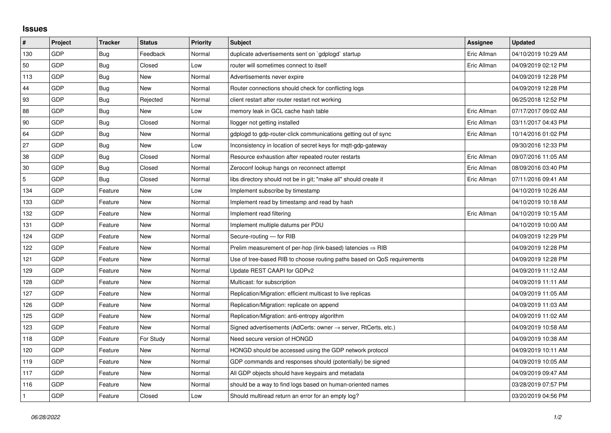## **Issues**

| #   | Project | <b>Tracker</b> | <b>Status</b> | <b>Priority</b> | <b>Subject</b>                                                             | Assignee    | <b>Updated</b>      |
|-----|---------|----------------|---------------|-----------------|----------------------------------------------------------------------------|-------------|---------------------|
| 130 | GDP     | Bug            | Feedback      | Normal          | duplicate advertisements sent on `qdplogd` startup                         | Eric Allman | 04/10/2019 10:29 AM |
| 50  | GDP     | Bug            | Closed        | Low             | router will sometimes connect to itself                                    | Eric Allman | 04/09/2019 02:12 PM |
| 113 | GDP     | <b>Bug</b>     | <b>New</b>    | Normal          | Advertisements never expire                                                |             | 04/09/2019 12:28 PM |
| 44  | GDP     | Bug            | <b>New</b>    | Normal          | Router connections should check for conflicting logs                       |             | 04/09/2019 12:28 PM |
| 93  | GDP     | Bug            | Rejected      | Normal          | client restart after router restart not working                            |             | 06/25/2018 12:52 PM |
| 88  | GDP     | <b>Bug</b>     | New           | Low             | memory leak in GCL cache hash table                                        | Eric Allman | 07/17/2017 09:02 AM |
| 90  | GDP     | Bug            | Closed        | Normal          | llogger not getting installed                                              | Eric Allman | 03/11/2017 04:43 PM |
| 64  | GDP     | <b>Bug</b>     | New           | Normal          | gdplogd to gdp-router-click communications getting out of sync             | Eric Allman | 10/14/2016 01:02 PM |
| 27  | GDP     | Bug            | New           | Low             | Inconsistency in location of secret keys for mqtt-gdp-gateway              |             | 09/30/2016 12:33 PM |
| 38  | GDP     | <b>Bug</b>     | Closed        | Normal          | Resource exhaustion after repeated router restarts                         | Eric Allman | 09/07/2016 11:05 AM |
| 30  | GDP     | Bug            | Closed        | Normal          | Zeroconf lookup hangs on reconnect attempt                                 | Eric Allman | 08/09/2016 03:40 PM |
| 5   | GDP     | Bug            | Closed        | Normal          | libs directory should not be in git; "make all" should create it           | Eric Allman | 07/11/2016 09:41 AM |
| 134 | GDP     | Feature        | New           | Low             | Implement subscribe by timestamp                                           |             | 04/10/2019 10:26 AM |
| 133 | GDP     | Feature        | New           | Normal          | Implement read by timestamp and read by hash                               |             | 04/10/2019 10:18 AM |
| 132 | GDP     | Feature        | New           | Normal          | Implement read filtering                                                   | Eric Allman | 04/10/2019 10:15 AM |
| 131 | GDP     | Feature        | <b>New</b>    | Normal          | Implement multiple datums per PDU                                          |             | 04/10/2019 10:00 AM |
| 124 | GDP     | Feature        | New           | Normal          | Secure-routing - for RIB                                                   |             | 04/09/2019 12:29 PM |
| 122 | GDP     | Feature        | New           | Normal          | Prelim measurement of per-hop (link-based) latencies $\Rightarrow$ RIB     |             | 04/09/2019 12:28 PM |
| 121 | GDP     | Feature        | New           | Normal          | Use of tree-based RIB to choose routing paths based on QoS requirements    |             | 04/09/2019 12:28 PM |
| 129 | GDP     | Feature        | New           | Normal          | Update REST CAAPI for GDPv2                                                |             | 04/09/2019 11:12 AM |
| 128 | GDP     | Feature        | New           | Normal          | Multicast: for subscription                                                |             | 04/09/2019 11:11 AM |
| 127 | GDP     | Feature        | New           | Normal          | Replication/Migration: efficient multicast to live replicas                |             | 04/09/2019 11:05 AM |
| 126 | GDP     | Feature        | <b>New</b>    | Normal          | Replication/Migration: replicate on append                                 |             | 04/09/2019 11:03 AM |
| 125 | GDP     | Feature        | New           | Normal          | Replication/Migration: anti-entropy algorithm                              |             | 04/09/2019 11:02 AM |
| 123 | GDP     | Feature        | New           | Normal          | Signed advertisements (AdCerts: owner $\rightarrow$ server, RtCerts, etc.) |             | 04/09/2019 10:58 AM |
| 118 | GDP     | Feature        | For Study     | Normal          | Need secure version of HONGD                                               |             | 04/09/2019 10:38 AM |
| 120 | GDP     | Feature        | New           | Normal          | HONGD should be accessed using the GDP network protocol                    |             | 04/09/2019 10:11 AM |
| 119 | GDP     | Feature        | New           | Normal          | GDP commands and responses should (potentially) be signed                  |             | 04/09/2019 10:05 AM |
| 117 | GDP     | Feature        | New           | Normal          | All GDP objects should have keypairs and metadata                          |             | 04/09/2019 09:47 AM |
| 116 | GDP     | Feature        | New           | Normal          | should be a way to find logs based on human-oriented names                 |             | 03/28/2019 07:57 PM |
|     | GDP     | Feature        | Closed        | Low             | Should multiread return an error for an empty log?                         |             | 03/20/2019 04:56 PM |